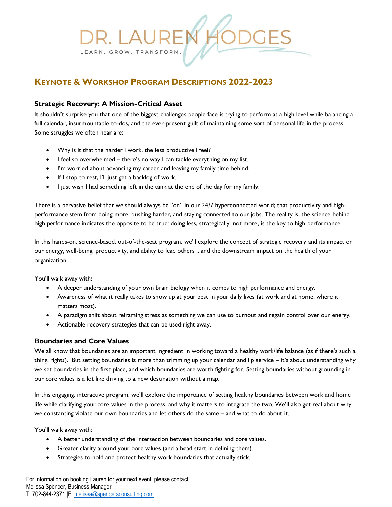# R. LAUREI LEARN. GROW. TRANSFORM.

# **KEYNOTE & WORKSHOP PROGRAM DESCRIPTIONS 2022-2023**

## **Strategic Recovery: A Mission-Critical Asset**

It shouldn't surprise you that one of the biggest challenges people face is trying to perform at a high level while balancing a full calendar, insurmountable to-dos, and the ever-present guilt of maintaining some sort of personal life in the process. Some struggles we often hear are:

- Why is it that the harder I work, the less productive I feel?
- I feel so overwhelmed there's no way I can tackle everything on my list.
- I'm worried about advancing my career and leaving my family time behind.
- If I stop to rest, I'll just get a backlog of work.
- I just wish I had something left in the tank at the end of the day for my family.

There is a pervasive belief that we should always be "on" in our 24/7 hyperconnected world; that productivity and highperformance stem from doing more, pushing harder, and staying connected to our jobs. The reality is, the science behind high performance indicates the opposite to be true: doing less, strategically, not more, is the key to high performance.

In this hands-on, science-based, out-of-the-seat program, we'll explore the concept of strategic recovery and its impact on our energy, well-being, productivity, and ability to lead others .. and the downstream impact on the health of your organization.

You'll walk away with:

- A deeper understanding of your own brain biology when it comes to high performance and energy.
- Awareness of what it really takes to show up at your best in your daily lives (at work and at home, where it matters most).
- A paradigm shift about reframing stress as something we can use to burnout and regain control over our energy.
- Actionable recovery strategies that can be used right away.

### **Boundaries and Core Values**

We all know that boundaries are an important ingredient in working toward a healthy work/life balance (as if there's such a thing, right?). But setting boundaries is more than trimming up your calendar and lip service – it's about understanding why we set boundaries in the first place, and which boundaries are worth fighting for. Setting boundaries without grounding in our core values is a lot like driving to a new destination without a map.

In this engaging, interactive program, we'll explore the importance of setting healthy boundaries between work and home life while clarifying your core values in the process, and why it matters to integrate the two. We'll also get real about why we constanting violate our own boundaries and let others do the same – and what to do about it.

You'll walk away with:

- A better understanding of the intersection between boundaries and core values.
- Greater clarity around your core values (and a head start in defining them).
- Strategies to hold and protect healthy work boundaries that actually stick.

For information on booking Lauren for your next event, please contact: Melissa Spencer, Business Manager T: 702-844-2371 |E: [melissa@spencersconsulting.com](mailto:melissa@spencersconsulting.com)